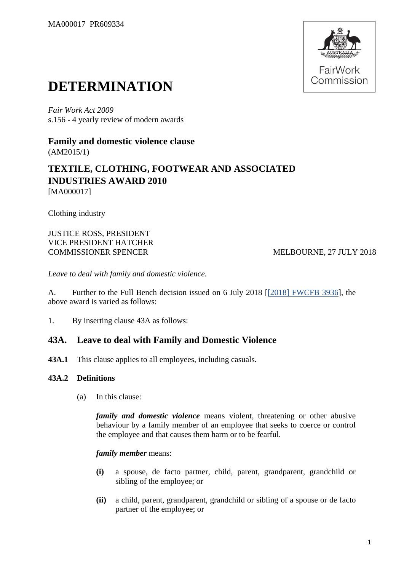

# **DETERMINATION**

*Fair Work Act 2009*  s.156 - 4 yearly review of modern awards

**Family and domestic violence clause** (AM2015/1)

# **TEXTILE, CLOTHING, FOOTWEAR AND ASSOCIATED INDUSTRIES AWARD 2010** [MA000017]

Clothing industry

JUSTICE ROSS, PRESIDENT VICE PRESIDENT HATCHER COMMISSIONER SPENCER MELBOURNE, 27 JULY 2018

*Leave to deal with family and domestic violence.*

A. Further to the Full Bench decision issued on 6 July 2018 [\[\[2018\] FWCFB 3936\]](https://www.fwc.gov.au/documents/decisionssigned/html/2018fwcfb3936.htm), the above award is varied as follows:

1. By inserting clause 43A as follows:

# **43A. Leave to deal with Family and Domestic Violence**

**43A.1** This clause applies to all employees, including casuals.

# **43A.2 Definitions**

(a) In this clause:

*family and domestic violence* means violent, threatening or other abusive behaviour by a family member of an employee that seeks to coerce or control the employee and that causes them harm or to be fearful.

# *family member* means:

- **(i)** a spouse, de facto partner, child, parent, grandparent, grandchild or sibling of the employee; or
- **(ii)** a child, parent, grandparent, grandchild or sibling of a spouse or de facto partner of the employee; or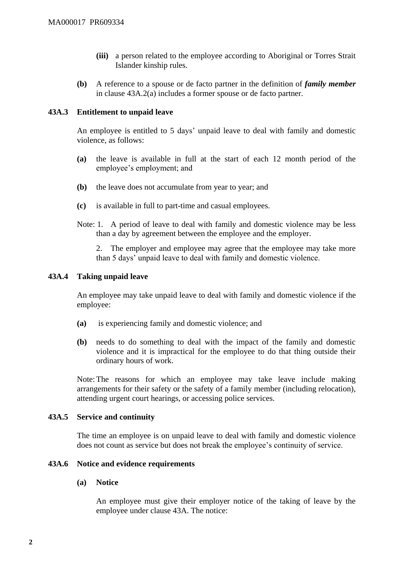- **(iii)** a person related to the employee according to Aboriginal or Torres Strait Islander kinship rules.
- **(b)** A reference to a spouse or de facto partner in the definition of *family member* in clause 43A.2(a) includes a former spouse or de facto partner.

### **43A.3 Entitlement to unpaid leave**

An employee is entitled to 5 days' unpaid leave to deal with family and domestic violence, as follows:

- **(a)** the leave is available in full at the start of each 12 month period of the employee's employment; and
- **(b)** the leave does not accumulate from year to year; and
- **(c)** is available in full to part-time and casual employees.
- Note: 1. A period of leave to deal with family and domestic violence may be less than a day by agreement between the employee and the employer.

2. The employer and employee may agree that the employee may take more than 5 days' unpaid leave to deal with family and domestic violence.

#### **43A.4 Taking unpaid leave**

An employee may take unpaid leave to deal with family and domestic violence if the employee:

- **(a)** is experiencing family and domestic violence; and
- **(b)** needs to do something to deal with the impact of the family and domestic violence and it is impractical for the employee to do that thing outside their ordinary hours of work.

Note:The reasons for which an employee may take leave include making arrangements for their safety or the safety of a family member (including relocation), attending urgent court hearings, or accessing police services.

#### **43A.5 Service and continuity**

The time an employee is on unpaid leave to deal with family and domestic violence does not count as service but does not break the employee's continuity of service.

# **43A.6 Notice and evidence requirements**

#### **(a) Notice**

An employee must give their employer notice of the taking of leave by the employee under clause 43A. The notice: